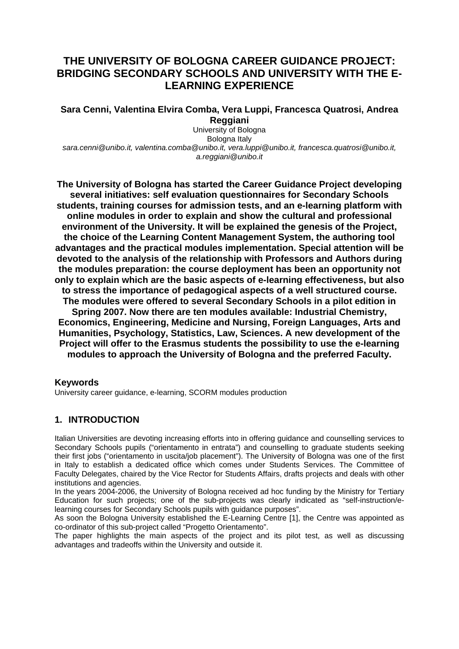# **THE UNIVERSITY OF BOLOGNA CAREER GUIDANCE PROJECT: BRIDGING SECONDARY SCHOOLS AND UNIVERSITY WITH THE E-LEARNING EXPERIENCE**

**Sara Cenni, Valentina Elvira Comba, Vera Luppi, Francesca Quatrosi, Andrea Reggiani** 

University of Bologna Bologna Italy *sara.cenni@unibo.it, valentina.comba@unibo.it, vera.luppi@unibo.it, francesca.quatrosi@unibo.it, a.reggiani@unibo.it* 

**The University of Bologna has started the Career Guidance Project developing several initiatives: self evaluation questionnaires for Secondary Schools students, training courses for admission tests, and an e-learning platform with online modules in order to explain and show the cultural and professional environment of the University. It will be explained the genesis of the Project, the choice of the Learning Content Management System, the authoring tool advantages and the practical modules implementation. Special attention will be devoted to the analysis of the relationship with Professors and Authors during the modules preparation: the course deployment has been an opportunity not only to explain which are the basic aspects of e-learning effectiveness, but also to stress the importance of pedagogical aspects of a well structured course. The modules were offered to several Secondary Schools in a pilot edition in Spring 2007. Now there are ten modules available: Industrial Chemistry, Economics, Engineering, Medicine and Nursing, Foreign Languages, Arts and Humanities, Psychology, Statistics, Law, Sciences. A new development of the Project will offer to the Erasmus students the possibility to use the e-learning modules to approach the University of Bologna and the preferred Faculty.** 

#### **Keywords**

University career guidance, e-learning, SCORM modules production

# **1. INTRODUCTION**

Italian Universities are devoting increasing efforts into in offering guidance and counselling services to Secondary Schools pupils ("orientamento in entrata") and counselling to graduate students seeking their first jobs ("orientamento in uscita/job placement"). The University of Bologna was one of the first in Italy to establish a dedicated office which comes under Students Services. The Committee of Faculty Delegates, chaired by the Vice Rector for Students Affairs, drafts projects and deals with other institutions and agencies.

In the years 2004-2006, the University of Bologna received ad hoc funding by the Ministry for Tertiary Education for such projects; one of the sub-projects was clearly indicated as "self-instruction/elearning courses for Secondary Schools pupils with guidance purposes".

As soon the Bologna University established the E-Learning Centre [1], the Centre was appointed as co-ordinator of this sub-project called "Progetto Orientamento".

The paper highlights the main aspects of the project and its pilot test, as well as discussing advantages and tradeoffs within the University and outside it.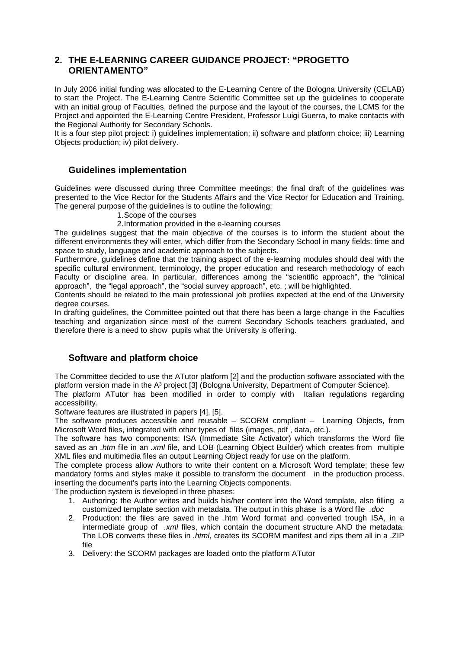### **2. THE E-LEARNING CAREER GUIDANCE PROJECT: "PROGETTO ORIENTAMENTO"**

In July 2006 initial funding was allocated to the E-Learning Centre of the Bologna University (CELAB) to start the Project. The E-Learning Centre Scientific Committee set up the guidelines to cooperate with an initial group of Faculties, defined the purpose and the layout of the courses, the LCMS for the Project and appointed the E-Learning Centre President, Professor Luigi Guerra, to make contacts with the Regional Authority for Secondary Schools.

It is a four step pilot project: i) guidelines implementation; ii) software and platform choice; iii) Learning Objects production; iv) pilot delivery.

#### **Guidelines implementation**

Guidelines were discussed during three Committee meetings; the final draft of the guidelines was presented to the Vice Rector for the Students Affairs and the Vice Rector for Education and Training. The general purpose of the guidelines is to outline the following:

- 1. Scope of the courses
- 2. Information provided in the e-learning courses

The guidelines suggest that the main objective of the courses is to inform the student about the different environments they will enter, which differ from the Secondary School in many fields: time and space to study, language and academic approach to the subjects.

Furthermore, guidelines define that the training aspect of the e-learning modules should deal with the specific cultural environment, terminology, the proper education and research methodology of each Faculty or discipline area. In particular, differences among the "scientific approach", the "clinical approach", the "legal approach", the "social survey approach", etc. ; will be highlighted.

Contents should be related to the main professional job profiles expected at the end of the University degree courses.

In drafting guidelines, the Committee pointed out that there has been a large change in the Faculties teaching and organization since most of the current Secondary Schools teachers graduated, and therefore there is a need to show pupils what the University is offering.

### **Software and platform choice**

The Committee decided to use the ATutor platform [2] and the production software associated with the platform version made in the A<sup>3</sup> project [3] (Bologna University, Department of Computer Science).

The platform ATutor has been modified in order to comply with Italian regulations regarding accessibility.

Software features are illustrated in papers [4], [5].

The software produces accessible and reusable – SCORM compliant – Learning Objects, from Microsoft Word files, integrated with other types of files (images, pdf , data, etc.).

The software has two components: ISA (Immediate Site Activator) which transforms the Word file saved as an *.htm* file in an *.xml* file, and LOB (Learning Object Builder) which creates from multiple XML files and multimedia files an output Learning Object ready for use on the platform.

The complete process allow Authors to write their content on a Microsoft Word template; these few mandatory forms and styles make it possible to transform the document in the production process, inserting the document's parts into the Learning Objects components.

The production system is developed in three phases:

- 1. Authoring: the Author writes and builds his/her content into the Word template, also filling a customized template section with metadata. The output in this phase is a Word file *.doc*
- 2. Production: the files are saved in the .htm Word format and converted trough ISA, in a intermediate group of *.xml* files, which contain the document structure AND the metadata. The LOB converts these files in *.html*, creates its SCORM manifest and zips them all in a .ZIP file
- 3. Delivery: the SCORM packages are loaded onto the platform ATutor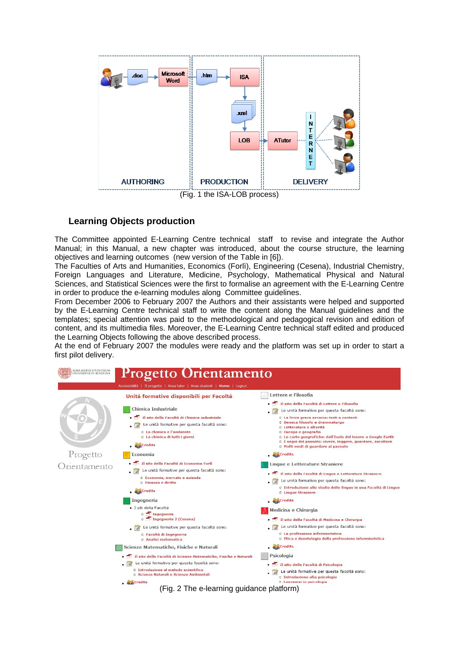

#### **Learning Objects production**

The Committee appointed E-Learning Centre technical staff to revise and integrate the Author Manual; in this Manual, a new chapter was introduced, about the course structure, the learning objectives and learning outcomes (new version of the Table in [6]).

The Faculties of Arts and Humanities, Economics (Forlì), Engineering (Cesena), Industrial Chemistry, Foreign Languages and Literature, Medicine, Psychology, Mathematical Physical and Natural Sciences, and Statistical Sciences were the first to formalise an agreement with the E-Learning Centre in order to produce the e-learning modules along Committee guidelines.

From December 2006 to February 2007 the Authors and their assistants were helped and supported by the E-Learning Centre technical staff to write the content along the Manual guidelines and the templates; special attention was paid to the methodological and pedagogical revision and edition of content, and its multimedia files. Moreover, the E-Learning Centre technical staff edited and produced the Learning Objects following the above described process.

At the end of February 2007 the modules were ready and the platform was set up in order to start a first pilot delivery.

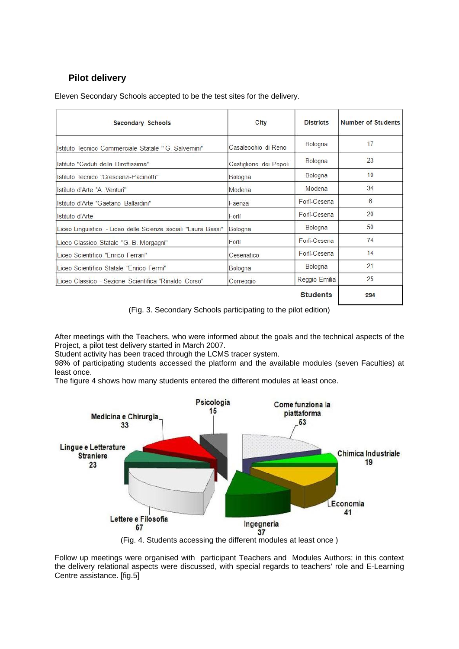# **Pilot delivery**

Eleven Secondary Schools accepted to be the test sites for the delivery.

| <b>Secondary Schools</b>                                      | City                   | <b>Districts</b> | <b>Number of Students</b> |
|---------------------------------------------------------------|------------------------|------------------|---------------------------|
| Istituto Tecnico Commerciale Statale " G. Salvemini"          | Casalecchio di Reno    | Bologna          | 17                        |
| Istituto "Caduti della Direttissima"                          | Castiglione dei Pepoli | Bologna          | 23                        |
| Istituto Tecnico "Crescenzi-Pacinotti"                        | Bologna                | Bologna          | 10                        |
| Istituto d'Arte "A Venturi"                                   | Modena                 | Modena           | 34                        |
| Istituto d'Arte "Gaetano Ballardini"                          | Faenza                 | Forlì-Cesena     | 6                         |
| Istituto d'Arte                                               | Forlì                  | Forli-Cesena     | 20                        |
| Liceo Linguistico - Liceo delle Scienze sociali "Laura Bassi" | Bologna                | Bologna          | 50                        |
| Liceo Classico Statale "G. B. Morgagni"                       | Forlì                  | Forli-Cesena     | 74                        |
| Liceo Scientifico "Enrico Ferrari"                            | Cesenatico             | Forli-Cesena     | 14                        |
| Liceo Scientifico Statale "Enrico Fermi"                      | Bologna                | Bologna          | 21                        |
| Liceo Classico - Sezione Scientifica "Rinaldo Corso"          | Correggio              | Reggio Emilia    | 25                        |
|                                                               |                        | <b>Students</b>  | 294                       |

(Fig. 3. Secondary Schools participating to the pilot edition)

After meetings with the Teachers, who were informed about the goals and the technical aspects of the Project, a pilot test delivery started in March 2007.

Student activity has been traced through the LCMS tracer system.

98% of participating students accessed the platform and the available modules (seven Faculties) at least once.

The figure 4 shows how many students entered the different modules at least once.



(Fig. 4. Students accessing the different modules at least once )

Follow up meetings were organised with participant Teachers and Modules Authors; in this context the delivery relational aspects were discussed, with special regards to teachers' role and E-Learning Centre assistance. [fig.5]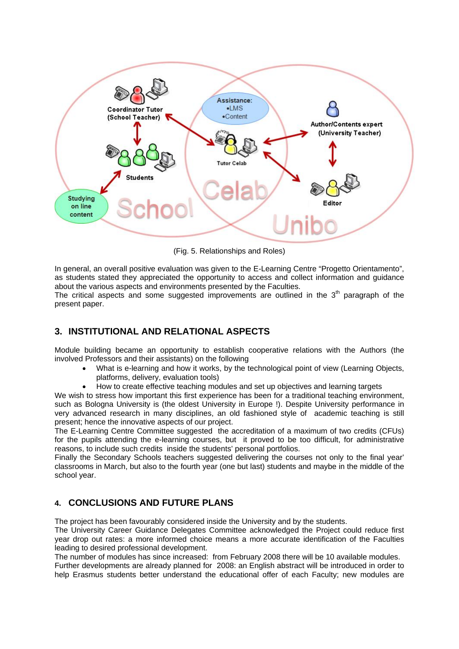

(Fig. 5. Relationships and Roles)

In general, an overall positive evaluation was given to the E-Learning Centre "Progetto Orientamento", as students stated they appreciated the opportunity to access and collect information and guidance about the various aspects and environments presented by the Faculties.

The critical aspects and some suggested improvements are outlined in the  $3<sup>th</sup>$  paragraph of the present paper.

# **3. INSTITUTIONAL AND RELATIONAL ASPECTS**

Module building became an opportunity to establish cooperative relations with the Authors (the involved Professors and their assistants) on the following

- What is e-learning and how it works, by the technological point of view (Learning Objects, platforms, delivery, evaluation tools)
- How to create effective teaching modules and set up objectives and learning targets

We wish to stress how important this first experience has been for a traditional teaching environment, such as Bologna University is (the oldest University in Europe !). Despite University performance in very advanced research in many disciplines, an old fashioned style of academic teaching is still present; hence the innovative aspects of our project.

The E-Learning Centre Committee suggested the accreditation of a maximum of two credits (CFUs) for the pupils attending the e-learning courses, but it proved to be too difficult, for administrative reasons, to include such credits inside the students' personal portfolios.

Finally the Secondary Schools teachers suggested delivering the courses not only to the final year' classrooms in March, but also to the fourth year (one but last) students and maybe in the middle of the school year.

### **4. CONCLUSIONS AND FUTURE PLANS**

The project has been favourably considered inside the University and by the students.

The University Career Guidance Delegates Committee acknowledged the Project could reduce first year drop out rates: a more informed choice means a more accurate identification of the Faculties leading to desired professional development.

The number of modules has since increased: from February 2008 there will be 10 available modules.

Further developments are already planned for 2008: an English abstract will be introduced in order to help Erasmus students better understand the educational offer of each Faculty; new modules are